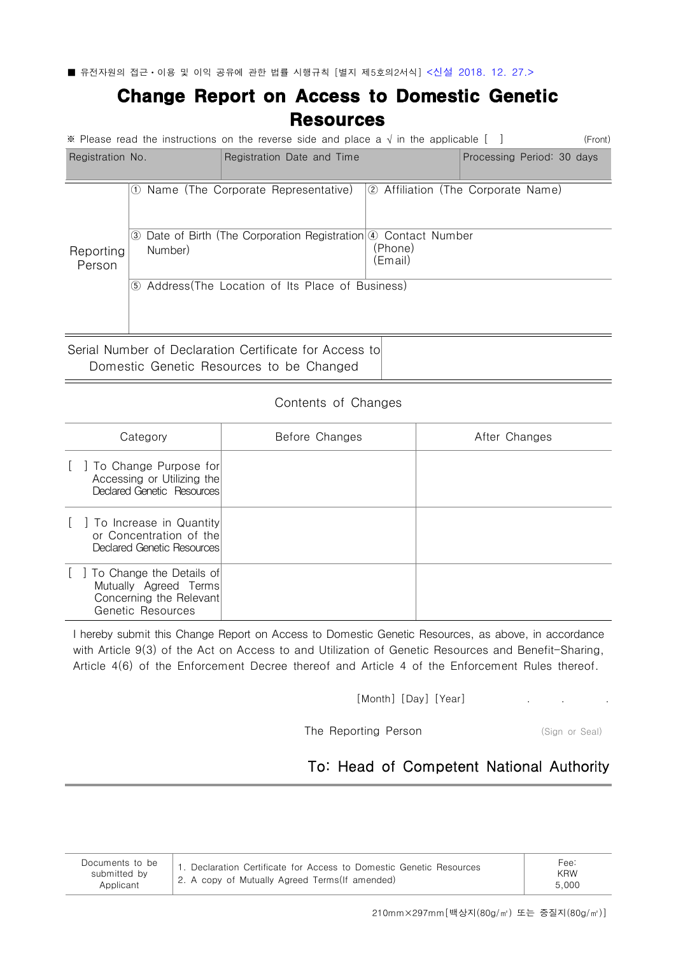■ 유전자원의 접근ㆍ이용 및 이익 공유에 관한 법률 시행규칙 [별지 제5호의2서식] <신설 2018. 12. 27.>

## Change Report on Access to Domestic Genetic **Resources**

| (Front)<br>※ Please read the instructions on the reverse side and place a $\sqrt{ }$ in the applicable $\lceil \quad \rceil$ |                                                   |                                                                                                       |                                                          |                            |  |  |  |  |
|------------------------------------------------------------------------------------------------------------------------------|---------------------------------------------------|-------------------------------------------------------------------------------------------------------|----------------------------------------------------------|----------------------------|--|--|--|--|
| Registration No.                                                                                                             |                                                   | Registration Date and Time                                                                            |                                                          | Processing Period: 30 days |  |  |  |  |
| Reporting<br>Person                                                                                                          | (1)<br>Number)                                    | Name (The Corporate Representative)<br>3 Date of Birth (The Corporation Registration 4 Contact Number | 2 Affiliation (The Corporate Name)<br>(Phone)<br>(Email) |                            |  |  |  |  |
|                                                                                                                              | 5 Address (The Location of Its Place of Business) |                                                                                                       |                                                          |                            |  |  |  |  |
| Serial Number of Declaration Certificate for Access to                                                                       |                                                   |                                                                                                       |                                                          |                            |  |  |  |  |

Domestic Genetic Resources to be Changed

## Contents of Changes

| Category                                                                                          | Before Changes | After Changes |
|---------------------------------------------------------------------------------------------------|----------------|---------------|
| To Change Purpose for<br>Accessing or Utilizing the<br>Declared Genetic Resources                 |                |               |
| To Increase in Quantity<br>or Concentration of the<br>Declared Genetic Resources                  |                |               |
| To Change the Details of<br>Mutually Agreed Terms<br>Concerning the Relevant<br>Genetic Resources |                |               |

I hereby submit this Change Report on Access to Domestic Genetic Resources, as above, in accordance with Article 9(3) of the Act on Access to and Utilization of Genetic Resources and Benefit-Sharing, Article 4(6) of the Enforcement Decree thereof and Article 4 of the Enforcement Rules thereof.

[Month] [Day] [Year]

The Reporting Person (Sign or Seal)

## To: Head of Competent National Authority

| Documents to be<br>submitted by<br>Applicant | . Declaration Certificate for Access to Domestic Genetic Resources<br>2. A copy of Mutually Agreed Terms (If amended) | Fee.<br><b>KRW</b><br>5.000 |
|----------------------------------------------|-----------------------------------------------------------------------------------------------------------------------|-----------------------------|
|----------------------------------------------|-----------------------------------------------------------------------------------------------------------------------|-----------------------------|